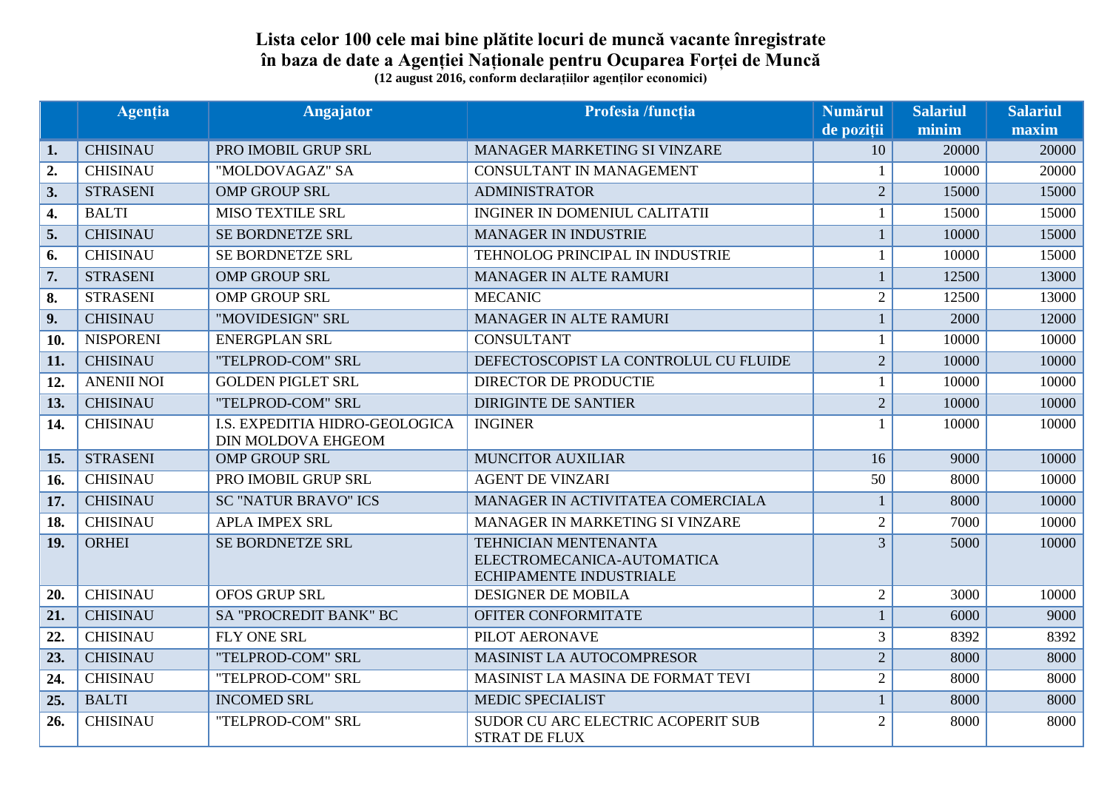## **Lista celor 100 cele mai bine plătite locuri de muncă vacante înregistrate în baza de date a Agenției Naționale pentru Ocuparea Forței de Muncă (12 august 2016, conform declarațiilor agenților economici)**

|     | <b>Agenția</b>    | Angajator                                                   | Profesia /funcția                                                                    | <b>Numărul</b> | <b>Salariul</b> | <b>Salariul</b> |
|-----|-------------------|-------------------------------------------------------------|--------------------------------------------------------------------------------------|----------------|-----------------|-----------------|
|     |                   |                                                             |                                                                                      | de poziții     | minim           | maxim           |
| 1.  | <b>CHISINAU</b>   | PRO IMOBIL GRUP SRL                                         | <b>MANAGER MARKETING SI VINZARE</b>                                                  | 10             | 20000           | 20000           |
| 2.  | <b>CHISINAU</b>   | "MOLDOVAGAZ" SA                                             | CONSULTANT IN MANAGEMENT                                                             | $\mathbf{1}$   | 10000           | 20000           |
| 3.  | <b>STRASENI</b>   | <b>OMP GROUP SRL</b>                                        | <b>ADMINISTRATOR</b>                                                                 | $\overline{2}$ | 15000           | 15000           |
| 4.  | <b>BALTI</b>      | <b>MISO TEXTILE SRL</b>                                     | <b>INGINER IN DOMENIUL CALITATII</b>                                                 | $\mathbf{1}$   | 15000           | 15000           |
| 5.  | <b>CHISINAU</b>   | SE BORDNETZE SRL                                            | <b>MANAGER IN INDUSTRIE</b>                                                          | $\mathbf{1}$   | 10000           | 15000           |
| 6.  | <b>CHISINAU</b>   | SE BORDNETZE SRL                                            | TEHNOLOG PRINCIPAL IN INDUSTRIE                                                      | $\mathbf{1}$   | 10000           | 15000           |
| 7.  | <b>STRASENI</b>   | <b>OMP GROUP SRL</b>                                        | MANAGER IN ALTE RAMURI                                                               | $\mathbf{1}$   | 12500           | 13000           |
| 8.  | <b>STRASENI</b>   | <b>OMP GROUP SRL</b>                                        | <b>MECANIC</b>                                                                       | $\overline{2}$ | 12500           | 13000           |
| 9.  | <b>CHISINAU</b>   | "MOVIDESIGN" SRL                                            | MANAGER IN ALTE RAMURI                                                               | $\mathbf{1}$   | 2000            | 12000           |
| 10. | <b>NISPORENI</b>  | <b>ENERGPLAN SRL</b>                                        | <b>CONSULTANT</b>                                                                    | 1              | 10000           | 10000           |
| 11. | <b>CHISINAU</b>   | "TELPROD-COM" SRL                                           | DEFECTOSCOPIST LA CONTROLUL CU FLUIDE                                                | $\overline{2}$ | 10000           | 10000           |
| 12. | <b>ANENII NOI</b> | <b>GOLDEN PIGLET SRL</b>                                    | DIRECTOR DE PRODUCTIE                                                                | $\mathbf{1}$   | 10000           | 10000           |
| 13. | <b>CHISINAU</b>   | "TELPROD-COM" SRL                                           | <b>DIRIGINTE DE SANTIER</b>                                                          | $\overline{2}$ | 10000           | 10000           |
| 14. | <b>CHISINAU</b>   | I.S. EXPEDITIA HIDRO-GEOLOGICA<br><b>DIN MOLDOVA EHGEOM</b> | <b>INGINER</b>                                                                       |                | 10000           | 10000           |
| 15. | <b>STRASENI</b>   | <b>OMP GROUP SRL</b>                                        | <b>MUNCITOR AUXILIAR</b>                                                             | 16             | 9000            | 10000           |
| 16. | <b>CHISINAU</b>   | PRO IMOBIL GRUP SRL                                         | <b>AGENT DE VINZARI</b>                                                              | 50             | 8000            | 10000           |
| 17. | <b>CHISINAU</b>   | <b>SC "NATUR BRAVO" ICS</b>                                 | MANAGER IN ACTIVITATEA COMERCIALA                                                    | $\mathbf{1}$   | 8000            | 10000           |
| 18. | <b>CHISINAU</b>   | <b>APLA IMPEX SRL</b>                                       | MANAGER IN MARKETING SI VINZARE                                                      | $\overline{2}$ | 7000            | 10000           |
| 19. | <b>ORHEI</b>      | SE BORDNETZE SRL                                            | TEHNICIAN MENTENANTA<br>ELECTROMECANICA-AUTOMATICA<br><b>ECHIPAMENTE INDUSTRIALE</b> | $\overline{3}$ | 5000            | 10000           |
| 20. | <b>CHISINAU</b>   | <b>OFOS GRUP SRL</b>                                        | <b>DESIGNER DE MOBILA</b>                                                            | $\overline{2}$ | 3000            | 10000           |
| 21. | <b>CHISINAU</b>   | SA "PROCREDIT BANK" BC                                      | OFITER CONFORMITATE                                                                  | $\mathbf{1}$   | 6000            | 9000            |
| 22. | <b>CHISINAU</b>   | FLY ONE SRL                                                 | PILOT AERONAVE                                                                       | 3              | 8392            | 8392            |
| 23. | <b>CHISINAU</b>   | "TELPROD-COM" SRL                                           | MASINIST LA AUTOCOMPRESOR                                                            | $\overline{2}$ | 8000            | 8000            |
| 24. | <b>CHISINAU</b>   | "TELPROD-COM" SRL                                           | MASINIST LA MASINA DE FORMAT TEVI                                                    | $\overline{2}$ | 8000            | 8000            |
| 25. | <b>BALTI</b>      | <b>INCOMED SRL</b>                                          | <b>MEDIC SPECIALIST</b>                                                              | $\mathbf{1}$   | 8000            | 8000            |
| 26. | <b>CHISINAU</b>   | "TELPROD-COM" SRL                                           | SUDOR CU ARC ELECTRIC ACOPERIT SUB<br><b>STRAT DE FLUX</b>                           | $\overline{2}$ | 8000            | 8000            |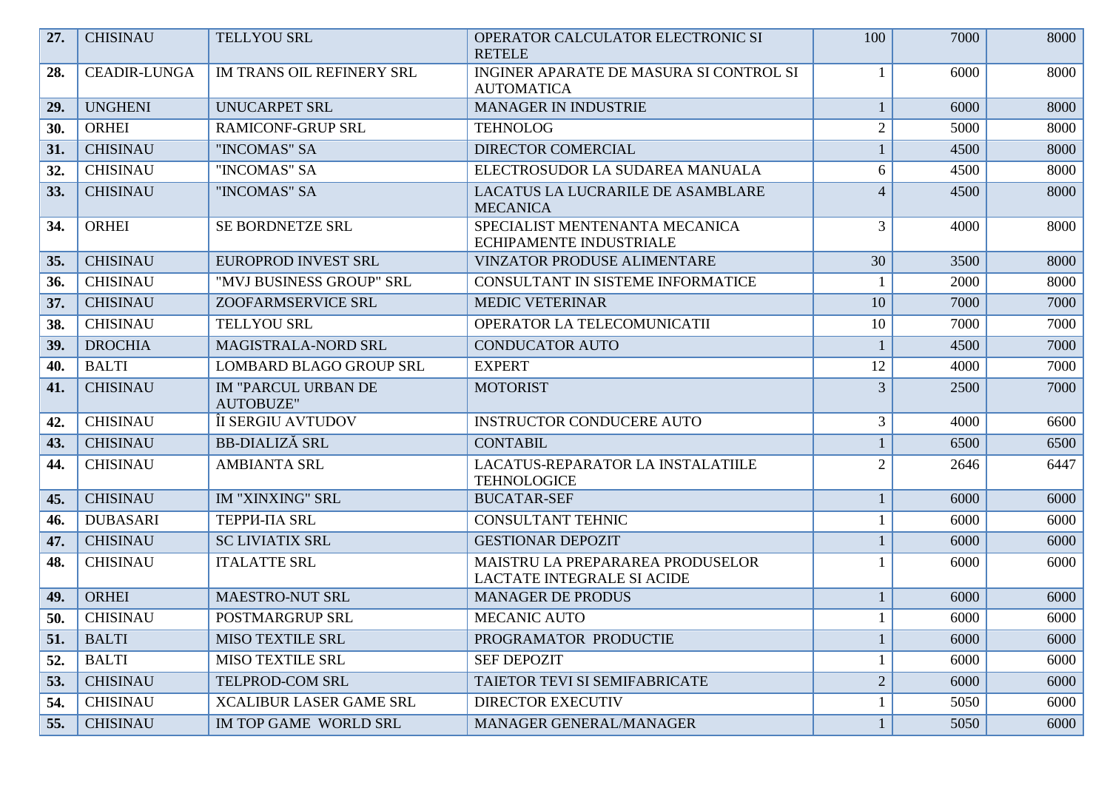| 27. | <b>CHISINAU</b>     | <b>TELLYOU SRL</b>                             | OPERATOR CALCULATOR ELECTRONIC SI<br><b>RETELE</b>               | 100                          | 7000 | 8000 |
|-----|---------------------|------------------------------------------------|------------------------------------------------------------------|------------------------------|------|------|
| 28. | <b>CEADIR-LUNGA</b> | IM TRANS OIL REFINERY SRL                      | INGINER APARATE DE MASURA SI CONTROL SI<br><b>AUTOMATICA</b>     | $\mathbf{1}$                 | 6000 | 8000 |
| 29. | <b>UNGHENI</b>      | <b>UNUCARPET SRL</b>                           | <b>MANAGER IN INDUSTRIE</b>                                      | $\mathbf{1}$                 | 6000 | 8000 |
| 30. | <b>ORHEI</b>        | <b>RAMICONF-GRUP SRL</b>                       | <b>TEHNOLOG</b>                                                  | $\overline{2}$               | 5000 | 8000 |
| 31. | <b>CHISINAU</b>     | "INCOMAS" SA                                   | DIRECTOR COMERCIAL                                               | $\mathbf{1}$                 | 4500 | 8000 |
| 32. | <b>CHISINAU</b>     | "INCOMAS" SA                                   | ELECTROSUDOR LA SUDAREA MANUALA                                  | 6                            | 4500 | 8000 |
| 33. | <b>CHISINAU</b>     | "INCOMAS" SA                                   | LACATUS LA LUCRARILE DE ASAMBLARE<br><b>MECANICA</b>             | $\overline{4}$               | 4500 | 8000 |
| 34. | <b>ORHEI</b>        | SE BORDNETZE SRL                               | SPECIALIST MENTENANTA MECANICA<br><b>ECHIPAMENTE INDUSTRIALE</b> | 3                            | 4000 | 8000 |
| 35. | <b>CHISINAU</b>     | EUROPROD INVEST SRL                            | <b>VINZATOR PRODUSE ALIMENTARE</b>                               | 30                           | 3500 | 8000 |
| 36. | <b>CHISINAU</b>     | "MVJ BUSINESS GROUP" SRL                       | CONSULTANT IN SISTEME INFORMATICE                                | -1                           | 2000 | 8000 |
| 37. | <b>CHISINAU</b>     | <b>ZOOFARMSERVICE SRL</b>                      | <b>MEDIC VETERINAR</b>                                           | 10                           | 7000 | 7000 |
| 38. | <b>CHISINAU</b>     | <b>TELLYOU SRL</b>                             | OPERATOR LA TELECOMUNICATII                                      | 10                           | 7000 | 7000 |
| 39. | <b>DROCHIA</b>      | MAGISTRALA-NORD SRL                            | <b>CONDUCATOR AUTO</b>                                           | $\mathbf{1}$                 | 4500 | 7000 |
| 40. | <b>BALTI</b>        | <b>LOMBARD BLAGO GROUP SRL</b>                 | <b>EXPERT</b>                                                    | 12                           | 4000 | 7000 |
| 41. | <b>CHISINAU</b>     | <b>IM "PARCUL URBAN DE</b><br><b>AUTOBUZE"</b> | <b>MOTORIST</b>                                                  | 3                            | 2500 | 7000 |
| 42. | <b>CHISINAU</b>     | ÎI SERGIU AVTUDOV                              | <b>INSTRUCTOR CONDUCERE AUTO</b>                                 | 3                            | 4000 | 6600 |
| 43. | <b>CHISINAU</b>     | <b>BB-DIALIZĂ SRL</b>                          | <b>CONTABIL</b>                                                  | $\mathbf{1}$                 | 6500 | 6500 |
| 44. | <b>CHISINAU</b>     | <b>AMBIANTA SRL</b>                            | LACATUS-REPARATOR LA INSTALATIILE<br><b>TEHNOLOGICE</b>          | $\overline{2}$               | 2646 | 6447 |
| 45. | <b>CHISINAU</b>     | IM "XINXING" SRL                               | <b>BUCATAR-SEF</b>                                               | $\mathbf{1}$                 | 6000 | 6000 |
| 46. | <b>DUBASARI</b>     | <b>ТЕРРИ-ПА SRL</b>                            | <b>CONSULTANT TEHNIC</b>                                         | $\mathbf{1}$                 | 6000 | 6000 |
| 47. | <b>CHISINAU</b>     | <b>SC LIVIATIX SRL</b>                         | <b>GESTIONAR DEPOZIT</b>                                         | $\mathbf{1}$                 | 6000 | 6000 |
| 48. | <b>CHISINAU</b>     | <b>ITALATTE SRL</b>                            | MAISTRU LA PREPARAREA PRODUSELOR<br>LACTATE INTEGRALE SI ACIDE   | $\mathbf{1}$                 | 6000 | 6000 |
| 49. | <b>ORHEI</b>        | <b>MAESTRO-NUT SRL</b>                         | <b>MANAGER DE PRODUS</b>                                         | $\mathbf{1}$                 | 6000 | 6000 |
| 50. | <b>CHISINAU</b>     | POSTMARGRUP SRL                                | MECANIC AUTO                                                     | $\mathbf{1}$<br>$\mathbf{I}$ | 6000 | 6000 |
| 51. | <b>BALTI</b>        | <b>MISO TEXTILE SRL</b>                        | PROGRAMATOR PRODUCTIE                                            |                              | 6000 | 6000 |
| 52. | <b>BALTI</b>        | <b>MISO TEXTILE SRL</b>                        | <b>SEF DEPOZIT</b>                                               | $\mathbf{1}$                 | 6000 | 6000 |
| 53. | <b>CHISINAU</b>     | TELPROD-COM SRL                                | TAIETOR TEVI SI SEMIFABRICATE                                    | $\overline{2}$               | 6000 | 6000 |
| 54. | <b>CHISINAU</b>     | <b>XCALIBUR LASER GAME SRL</b>                 | <b>DIRECTOR EXECUTIV</b>                                         |                              | 5050 | 6000 |
| 55. | <b>CHISINAU</b>     | IM TOP GAME WORLD SRL                          | MANAGER GENERAL/MANAGER                                          | $\mathbf{1}$                 | 5050 | 6000 |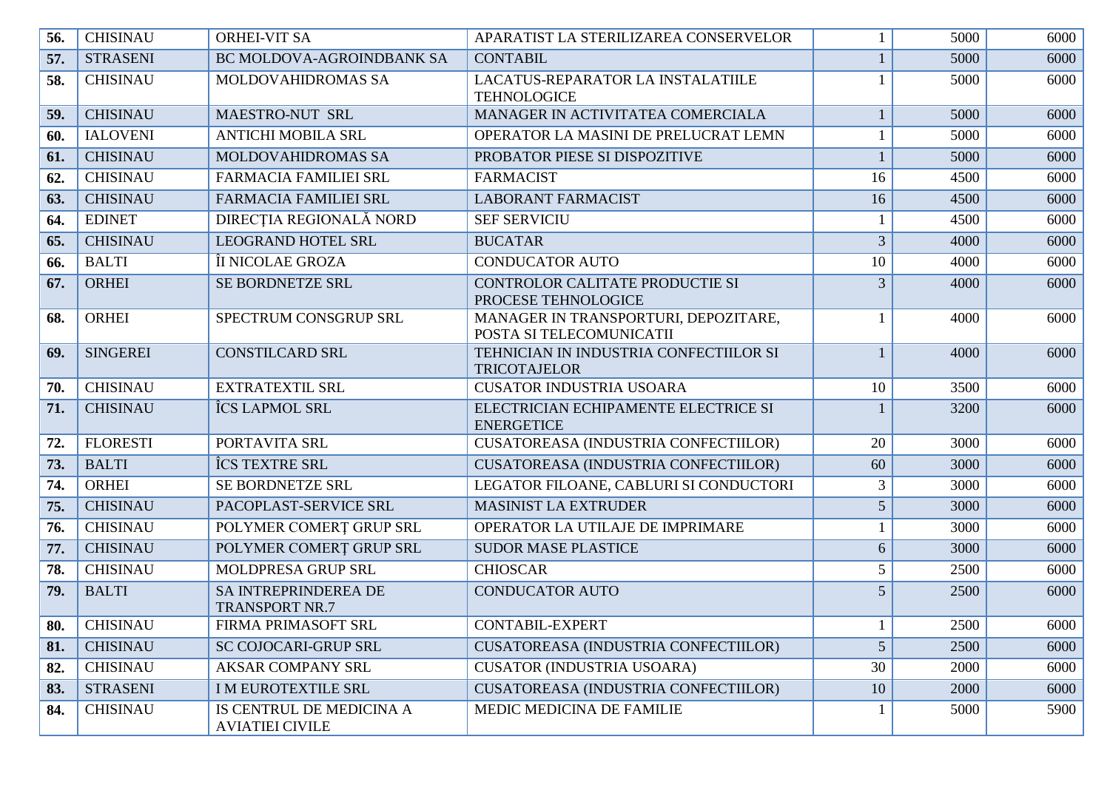| 56. | <b>CHISINAU</b> | <b>ORHEI-VIT SA</b>                                  | APARATIST LA STERILIZAREA CONSERVELOR                            |                 | 5000 | 6000 |
|-----|-----------------|------------------------------------------------------|------------------------------------------------------------------|-----------------|------|------|
| 57. | <b>STRASENI</b> | BC MOLDOVA-AGROINDBANK SA                            | <b>CONTABIL</b>                                                  |                 | 5000 | 6000 |
| 58. | <b>CHISINAU</b> | MOLDOVAHIDROMAS SA                                   | LACATUS-REPARATOR LA INSTALATIILE<br><b>TEHNOLOGICE</b>          | $\mathbf{1}$    | 5000 | 6000 |
| 59. | <b>CHISINAU</b> | MAESTRO-NUT SRL                                      | MANAGER IN ACTIVITATEA COMERCIALA                                | $\mathbf{1}$    | 5000 | 6000 |
| 60. | <b>IALOVENI</b> | <b>ANTICHI MOBILA SRL</b>                            | OPERATOR LA MASINI DE PRELUCRAT LEMN                             | -1              | 5000 | 6000 |
| 61. | <b>CHISINAU</b> | MOLDOVAHIDROMAS SA                                   | PROBATOR PIESE SI DISPOZITIVE                                    |                 | 5000 | 6000 |
| 62. | <b>CHISINAU</b> | <b>FARMACIA FAMILIEI SRL</b>                         | <b>FARMACIST</b>                                                 | 16              | 4500 | 6000 |
| 63. | <b>CHISINAU</b> | <b>FARMACIA FAMILIEI SRL</b>                         | <b>LABORANT FARMACIST</b>                                        | 16              | 4500 | 6000 |
| 64. | <b>EDINET</b>   | DIRECȚIA REGIONALĂ NORD                              | <b>SEF SERVICIU</b>                                              |                 | 4500 | 6000 |
| 65. | <b>CHISINAU</b> | <b>LEOGRAND HOTEL SRL</b>                            | <b>BUCATAR</b>                                                   | $\overline{3}$  | 4000 | 6000 |
| 66. | <b>BALTI</b>    | ÎI NICOLAE GROZA                                     | <b>CONDUCATOR AUTO</b>                                           | 10              | 4000 | 6000 |
| 67. | <b>ORHEI</b>    | SE BORDNETZE SRL                                     | CONTROLOR CALITATE PRODUCTIE SI<br>PROCESE TEHNOLOGICE           | 3               | 4000 | 6000 |
| 68. | <b>ORHEI</b>    | SPECTRUM CONSGRUP SRL                                | MANAGER IN TRANSPORTURI, DEPOZITARE,<br>POSTA SI TELECOMUNICATII | 1               | 4000 | 6000 |
| 69. | <b>SINGEREI</b> | <b>CONSTILCARD SRL</b>                               | TEHNICIAN IN INDUSTRIA CONFECTIILOR SI<br><b>TRICOTAJELOR</b>    | 1               | 4000 | 6000 |
| 70. | <b>CHISINAU</b> | <b>EXTRATEXTIL SRL</b>                               | <b>CUSATOR INDUSTRIA USOARA</b>                                  | 10              | 3500 | 6000 |
| 71. | <b>CHISINAU</b> | ÎCS LAPMOL SRL                                       | ELECTRICIAN ECHIPAMENTE ELECTRICE SI<br><b>ENERGETICE</b>        |                 | 3200 | 6000 |
| 72. | <b>FLORESTI</b> | PORTAVITA SRL                                        | CUSATOREASA (INDUSTRIA CONFECTIILOR)                             | 20              | 3000 | 6000 |
| 73. | <b>BALTI</b>    | ÎCS TEXTRE SRL                                       | CUSATOREASA (INDUSTRIA CONFECTIILOR)                             | 60              | 3000 | 6000 |
| 74. | <b>ORHEI</b>    | SE BORDNETZE SRL                                     | LEGATOR FILOANE, CABLURI SI CONDUCTORI                           | 3               | 3000 | 6000 |
| 75. | <b>CHISINAU</b> | PACOPLAST-SERVICE SRL                                | <b>MASINIST LA EXTRUDER</b>                                      | $5\overline{)}$ | 3000 | 6000 |
| 76. | <b>CHISINAU</b> | POLYMER COMERT GRUP SRL                              | OPERATOR LA UTILAJE DE IMPRIMARE                                 |                 | 3000 | 6000 |
| 77. | <b>CHISINAU</b> | POLYMER COMERT GRUP SRL                              | <b>SUDOR MASE PLASTICE</b>                                       | 6               | 3000 | 6000 |
| 78. | <b>CHISINAU</b> | MOLDPRESA GRUP SRL                                   | <b>CHIOSCAR</b>                                                  | 5               | 2500 | 6000 |
| 79. | <b>BALTI</b>    | <b>SA INTREPRINDEREA DE</b><br><b>TRANSPORT NR.7</b> | <b>CONDUCATOR AUTO</b>                                           | 5               | 2500 | 6000 |
| 80. | <b>CHISINAU</b> | FIRMA PRIMASOFT SRL                                  | <b>CONTABIL-EXPERT</b>                                           |                 | 2500 | 6000 |
| 81. | <b>CHISINAU</b> | <b>SC COJOCARI-GRUP SRL</b>                          | CUSATOREASA (INDUSTRIA CONFECTIILOR)                             | $5\overline{)}$ | 2500 | 6000 |
| 82. | <b>CHISINAU</b> | <b>AKSAR COMPANY SRL</b>                             | <b>CUSATOR (INDUSTRIA USOARA)</b>                                | 30              | 2000 | 6000 |
| 83. | <b>STRASENI</b> | <b>IM EUROTEXTILE SRL</b>                            | CUSATOREASA (INDUSTRIA CONFECTIILOR)                             | 10              | 2000 | 6000 |
| 84. | <b>CHISINAU</b> | IS CENTRUL DE MEDICINA A<br><b>AVIATIEI CIVILE</b>   | MEDIC MEDICINA DE FAMILIE                                        |                 | 5000 | 5900 |